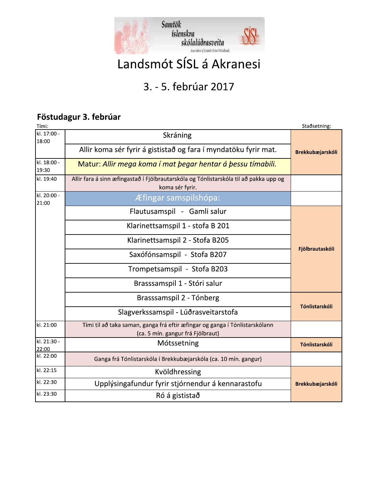

# Landsmót SÍSL á Akranesi

# 3. - 5. febrúar 2017

#### Föstudagur 3. febrúar

| Tími:                              |                                                                                                                  | Staðsetning:            |  |  |  |
|------------------------------------|------------------------------------------------------------------------------------------------------------------|-------------------------|--|--|--|
| $\overline{kl}$ . 17:00 -<br>18:00 | Skráning                                                                                                         |                         |  |  |  |
|                                    | Allir koma sér fyrir á gististað og fara í myndatöku fyrir mat.                                                  | <b>Brekkubæjarskóli</b> |  |  |  |
| kl. 18:00 -<br>19:30               | Matur: Allir mega koma í mat þegar hentar á þessu tímabili.                                                      |                         |  |  |  |
| kl. 19:40                          | Allir fara á sinn æfingastað í Fjölbrautarskóla og Tónlistarskóla til að pakka upp og<br>koma sér fyrir.         |                         |  |  |  |
| kl. 20:00 -<br>21:00               | Æfingar samspilshópa:                                                                                            |                         |  |  |  |
|                                    | Flautusamspil - Gamli salur                                                                                      |                         |  |  |  |
|                                    | Klarinettsamspil 1 - stofa B 201                                                                                 |                         |  |  |  |
|                                    | Klarinettsamspil 2 - Stofa B205                                                                                  |                         |  |  |  |
|                                    | Saxófónsamspil - Stofa B207                                                                                      | Fjölbrautaskóli         |  |  |  |
|                                    | Trompetsamspil - Stofa B203                                                                                      |                         |  |  |  |
|                                    | Brasssamspil 1 - Stóri salur                                                                                     |                         |  |  |  |
|                                    | Brasssamspil 2 - Tónberg                                                                                         |                         |  |  |  |
|                                    | Slagverkssamspil - Lúðrasveitarstofa                                                                             | Tónlistarskóli          |  |  |  |
| kl. 21:00                          | Tími til að taka saman, ganga frá eftir æfingar og ganga í Tónlistarskólann<br>(ca. 5 mín. gangur frá Fjölbraut) |                         |  |  |  |
| $\overline{kl}$ . 21:30 -<br>22:00 | Mótssetning                                                                                                      | Tónlistarskóli          |  |  |  |
| kl. 22:00                          | Ganga frá Tónlistarskóla í Brekkubæjarskóla (ca. 10 mín. gangur)                                                 |                         |  |  |  |
| kl. 22:15                          | Kvöldhressing                                                                                                    |                         |  |  |  |
| kl. 22:30                          | Upplýsingafundur fyrir stjórnendur á kennarastofu                                                                | <b>Brekkubæjarskóli</b> |  |  |  |
| kl. 23:30                          | Ró á gististað                                                                                                   |                         |  |  |  |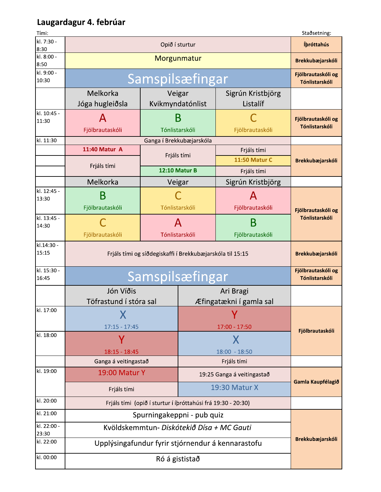#### Laugardagur 4. febrúar

| Tími:                |                                                           |                                                              |                            |                                      | Staðsetning:                         |  |
|----------------------|-----------------------------------------------------------|--------------------------------------------------------------|----------------------------|--------------------------------------|--------------------------------------|--|
| kl. 7:30 -<br>8:30   | Opið í sturtur                                            |                                                              |                            |                                      | Ípróttahús                           |  |
| kl. 8:00 -<br>8:50   | Morgunmatur                                               |                                                              |                            |                                      | <b>Brekkubæjarskóli</b>              |  |
| kl. 9:00 -<br>10:30  | Samspilsæfingar                                           |                                                              |                            |                                      | Fjölbrautaskóli og<br>Tónlistarskóli |  |
|                      | Melkorka<br>Jóga hugleiðsla                               | Veigar<br>Kvikmyndatónlist                                   |                            | Sigrún Kristbjörg<br>Listalíf        |                                      |  |
| kl. 10:45 -<br>11:30 | А<br>Fjölbrautaskóli                                      | B<br>Tónlistarskóli                                          |                            | Fjölbrautaskóli                      | Fjölbrautaskóli og<br>Tónlistarskóli |  |
| kl. 11:30            |                                                           | Ganga í Brekkubæjarskóla                                     |                            |                                      |                                      |  |
|                      | 11:40 Matur A                                             | Frjáls tími                                                  |                            | Frjáls tími<br><b>11:50 Matur C</b>  | Brekkubæjarskóli                     |  |
|                      | Frjáls tími                                               | 12:10 Matur B                                                |                            | Frjáls tími                          |                                      |  |
|                      | Melkorka                                                  | Veigar                                                       |                            | Sigrún Kristbjörg                    |                                      |  |
| kl. 12:45 -<br>13:30 | B<br>Fjölbrautaskóli                                      | Tónlistarskóli                                               |                            | Α<br>Fjölbrautaskóli                 | Fjölbrautaskóli og                   |  |
| kl. 13:45 -<br>14:30 | Fjölbrautaskóli                                           | A<br>Tónlistarskóli                                          |                            | Β<br>Fjölbrautaskóli                 | Tónlistarskóli                       |  |
| kl.14:30 -<br>15:15  | Frjáls tími og síðdegiskaffi í Brekkubæjarskóla til 15:15 |                                                              |                            | <b>Brekkubæjarskóli</b>              |                                      |  |
| kl. 15:30 -<br>16:45 | Samspilsæfingar                                           |                                                              |                            | Fjölbrautaskóli og<br>Tónlistarskóli |                                      |  |
|                      | Jón Víðis                                                 | Töfrastund í stóra sal                                       |                            | Ari Bragi<br>Æfingatækni í gamla sal |                                      |  |
| kl. 17:00            | $17:15 - 17:45$                                           |                                                              | 17:00 - 17:50              |                                      |                                      |  |
| kl. 18:00            | $18:15 - 18:45$                                           |                                                              | X<br>$18:00 - 18:50$       |                                      | Fjölbrautaskóli                      |  |
|                      | Ganga á veitingastað                                      |                                                              |                            | Frjáls tími                          |                                      |  |
| kl. 19:00            | 19:00 Matur Y                                             |                                                              | 19:25 Ganga á veitingastað |                                      | Gamla Kaupfélagið                    |  |
|                      | Frjáls tími                                               |                                                              | 19:30 Matur X              |                                      |                                      |  |
| kl. 20:00            |                                                           | Frjáls tími (opið í sturtur í íþróttahúsi frá 19:30 - 20:30) |                            |                                      |                                      |  |
| kl. 21:00            | Spurningakeppni - pub quiz                                |                                                              |                            | Brekkubæjarskóli                     |                                      |  |
| kl. 22:00 -<br>23:30 | Kvöldskemmtun- Diskótekið Dísa + MC Gauti                 |                                                              |                            |                                      |                                      |  |
| kl. 22:00            | Upplýsingafundur fyrir stjórnendur á kennarastofu         |                                                              |                            |                                      |                                      |  |
| kl. 00:00            | Ró á gististað                                            |                                                              |                            |                                      |                                      |  |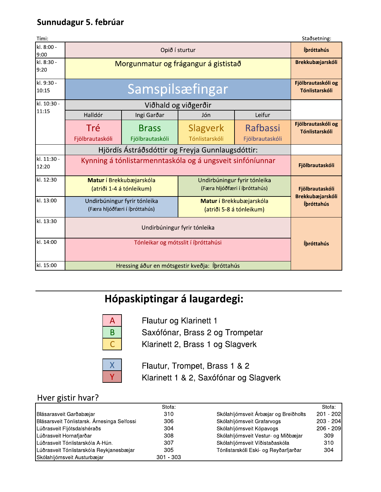### Sunnudagur 5. februar

| Tími:                        |                                                |                                                               |                                                                              |                                       | Staðsetning:                         |  |  |
|------------------------------|------------------------------------------------|---------------------------------------------------------------|------------------------------------------------------------------------------|---------------------------------------|--------------------------------------|--|--|
| kl. 8:00 -<br>9:00           | Opið í sturtur                                 |                                                               |                                                                              | Íbróttahús                            |                                      |  |  |
| kl. 8:30 -<br>9:20           | Morgunmatur og frágangur á gististað           |                                                               |                                                                              |                                       | Brekkubæjarskóli                     |  |  |
| kl. 9:30 -<br>10:15          |                                                | Samspilsæfingar                                               |                                                                              |                                       | Fjölbrautaskóli og<br>Tónlistarskóli |  |  |
| kl. 10:30 -                  |                                                |                                                               |                                                                              |                                       |                                      |  |  |
| 11:15                        | Halldór                                        | Ingi Garðar                                                   | Jón                                                                          | Leifur                                |                                      |  |  |
|                              | Tré                                            | <b>Brass</b>                                                  | <b>Slagverk</b>                                                              | Rafbassi                              | Fjölbrautaskóli og<br>Tónlistarskóli |  |  |
|                              | Fjölbrautaskóli                                | Fjölbrautaskóli                                               | Tónlistarskóli                                                               | Fjölbrautaskóli                       |                                      |  |  |
| kl. 11:30 -                  |                                                |                                                               | Hjördís Ástráðsdóttir og Freyja Gunnlaugsdóttir:                             |                                       |                                      |  |  |
| 12:20                        |                                                |                                                               | Kynning á tónlistarmenntaskóla og á ungsveit sinfóníunnar<br>Fjölbrautaskóli |                                       |                                      |  |  |
| kl. 12:30                    |                                                | Matur í Brekkubæjarskóla<br>(atriði 1-4 á tónleikum)          | Undirbúningur fyrir tónleika<br>(Færa hljóðfæri í íþróttahús)                |                                       | Fjölbrautaskóli                      |  |  |
| kl. 13:00                    |                                                | Undirbúningur fyrir tónleika<br>(Færa hljóðfæri í íþróttahús) | Matur í Brekkubæjarskóla<br>(atriði 5-8 á tónleikum)                         |                                       | Brekkubæjarskóli<br>Ípróttahús       |  |  |
| kl. 13:30                    |                                                | Undirbúningur fyrir tónleika                                  |                                                                              |                                       |                                      |  |  |
| kl. 14:00                    |                                                | Ípróttahús                                                    |                                                                              |                                       |                                      |  |  |
| kl. 15:00                    | Hressing áður en mótsgestir kveðja: Íþróttahús |                                                               |                                                                              |                                       |                                      |  |  |
| Hópaskiptingar á laugardegi: |                                                |                                                               |                                                                              |                                       |                                      |  |  |
|                              |                                                |                                                               |                                                                              |                                       |                                      |  |  |
|                              | Saxófónar, Brass 2 og Trompetar<br>B           |                                                               |                                                                              |                                       |                                      |  |  |
|                              |                                                |                                                               |                                                                              |                                       |                                      |  |  |
|                              |                                                |                                                               |                                                                              |                                       |                                      |  |  |
|                              | Hver gistir hvar?                              | Stofa:                                                        |                                                                              |                                       | Stofa:                               |  |  |
|                              | Blásarasveit Garðabæjar                        | 310                                                           |                                                                              | Skólahljómsveit Árbæjar og Breiðholts | 201 - 202                            |  |  |

# Hópaskiptingar á laugardegi:



- 
- 



| Hver gistir hvar?                           |             |                                       |             |
|---------------------------------------------|-------------|---------------------------------------|-------------|
|                                             | Stofa:      |                                       | Stofa:      |
| Blásarasveit Garðabæjar                     | 310         | Skólahljómsveit Árbæjar og Breiðholts | $201 - 202$ |
| Blásarsveit Tónlistarsk. Árnesinga Selfossi | 306         | Skólahljómsveit Grafarvogs            | $203 - 204$ |
| Lúðrasveit Fljótsdalshéraðs                 | 304         | Skólahljómsveit Kópavogs              | $206 - 209$ |
| Lúðrasveit Hornafjarðar                     | 308         | Skólahljómsveit Vestur- og Miðbæjar   | 309         |
| Lúðrasveit Tónlistarskóla A-Hún.            | 307         | Skólahljómsveit Víðistaðaskóla        | 310         |
| Lúðrasveit Tónlistarskóla Reykjanesbæjar    | 305         | Tónlistarskóli Eski- og Reyðarfjarðar | 304         |
| Skólahljómsveit Austurbæjar                 | $301 - 303$ |                                       |             |